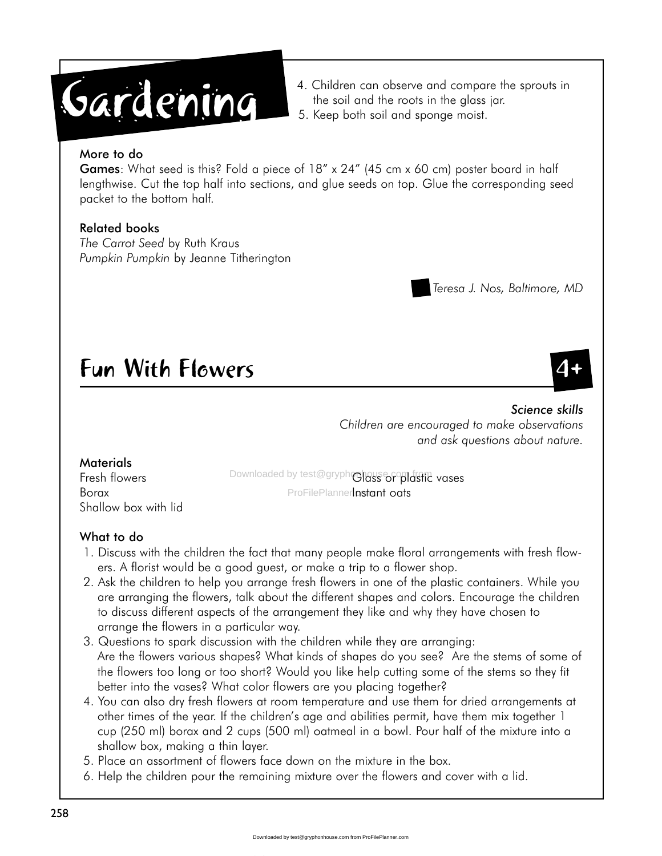# **Gardening**

- 4. Children can observe and compare the sprouts in the soil and the roots in the glass jar.
- 5. Keep both soil and sponge moist.

### More to do

Games: What seed is this? Fold a piece of 18" x 24" (45 cm x 60 cm) poster board in half lengthwise. Cut the top half into sections, and glue seeds on top. Glue the corresponding seed packet to the bottom half.

# Related books

*The Carrot Seed* by Ruth Kraus *Pumpkin Pumpkin* by Jeanne Titherington

# Teresa J. Nos, Baltimore, MD

# **Fun With Flowers**

#### *Science skills Children are encouraged to make observations and ask questions about nature.*

# **Materials**

Shallow box with lid

Fresh flowers **Downloaded by test@gryph@lass or plastic vases** Borax **Borack Communisty ProFilePlannerInstant oats** 

# What to do

- 1. Discuss with the children the fact that many people make floral arrangements with fresh flowers. A florist would be a good guest, or make a trip to a flower shop.
- 2. Ask the children to help you arrange fresh flowers in one of the plastic containers. While you are arranging the flowers, talk about the different shapes and colors. Encourage the children to discuss different aspects of the arrangement they like and why they have chosen to arrange the flowers in a particular way.
- 3. Questions to spark discussion with the children while they are arranging: Are the flowers various shapes? What kinds of shapes do you see? Are the stems of some of the flowers too long or too short? Would you like help cutting some of the stems so they fit better into the vases? What color flowers are you placing together?
- 4. You can also dry fresh flowers at room temperature and use them for dried arrangements at other times of the year. If the children's age and abilities permit, have them mix together 1 cup (250 ml) borax and 2 cups (500 ml) oatmeal in a bowl. Pour half of the mixture into a shallow box, making a thin layer.
- 5. Place an assortment of flowers face down on the mixture in the box.
- 6. Help the children pour the remaining mixture over the flowers and cover with a lid.